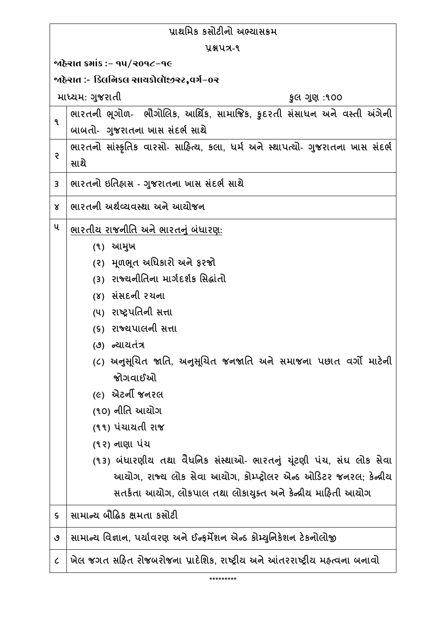| પ્રાથમિક કસોટીનો અભ્યાસક્રમ               |                                                                                |  |
|-------------------------------------------|--------------------------------------------------------------------------------|--|
| yaux-9                                    |                                                                                |  |
| ર જોકેરાત ક્રમાંક :− ૧૫/૨૦૧૮−૧૯           |                                                                                |  |
| ર્જાહેરાત :- કિલનિકલ સાયકોલૉજીસ્ટ,વર્ગ−૦ર |                                                                                |  |
|                                           | માધ્યમ: ગુજરાતી<br>કુલ ગુણ :૧૦૦                                                |  |
| ۹                                         | ભારતની ભૂગોળ- ભૌગોલિક, આર્થિક, સામાજિક, કુદરતી સંસાધન અને વસ્તી અંગેની         |  |
|                                           | બાબતો- ગુજરાતના ખાસ સંદર્ભ સાથે                                                |  |
| Ş                                         | ભારતનો સાંસ્કૃતિક વારસો- સાહિત્ય, કલા, ધર્મ અને સ્થાપત્યો- ગુજરાતના ખાસ સંદર્ભ |  |
|                                           | સાથે                                                                           |  |
| 3                                         | ભારતનો ઇતિહ્રાસ - ગુજરાતના ખાસ સંદર્ભ સાથે                                     |  |
| Χ                                         | ભારતની અર્થવ્યવસ્થા અને આયોજન                                                  |  |
| ૫                                         | ભારતીય રાજનીતિ અને ભારતનું બંધારણ:                                             |  |
|                                           | (૧) આમુખ                                                                       |  |
|                                           | (૨) મૂળભૂત અધિકારો અને ફરજો                                                    |  |
|                                           | (3) રાજ્યનીતિના માર્ગદર્શક સિદ્ધાંતો                                           |  |
|                                           | (૪) સંસદની રચના                                                                |  |
|                                           | (૫) રાષ્ટ્રપતિની સત્તા                                                         |  |
|                                           | (૬) રાજ્યપાલની સત્તા                                                           |  |
|                                           | (૭) ન્યાયતંત્ર                                                                 |  |
|                                           | (૮) અનુસૂચિત જાતિ, અનુસૂચિત જનજાતિ અને સમાજના પછાત વર્ગો માટેની<br>જોગવાઈઓ     |  |
|                                           | <i>(૯)</i> એટર્ની જનરલ                                                         |  |
|                                           | (૧૦) નીતિ આયોગ                                                                 |  |
|                                           | (૧૧) પંચાયતી રાજ                                                               |  |
|                                           | (૧૨) નાણા પંચ                                                                  |  |
|                                           | (૧૩) બંધારણીય તથા વૈધનિક સંસ્થાઓ- ભારતનું યૂંટણી પંચ, સંઘ લોક સેવા             |  |
|                                           | આયોગ, રાજ્ય લોક સેવા આયોગ, કોમ્પ્ટ્રોલર એન્ડ ઓડિટર જનરલ; કેન્દ્રીય             |  |
|                                           | સતર્કતા આયોગ, લોકપાલ તથા લોકાયુક્ત અને કેન્દ્રીય માહિતી આયોગ                   |  |
| $\boldsymbol{\varsigma}$                  | સામાન્ચ બૌદ્ધિક ક્ષમતા કસોટી                                                   |  |
| ৩                                         | સામાન્ય વિજ્ઞાન, પર્યાવરણ અને ઈન્ફર્મેશન એન્ડ કોમ્યુનિકેશન ટેકનોલોજી           |  |
| $\mathcal{C}_{0}$                         | ખેલ જગત સહિત રોજબરોજના પ્રાદેશિક, રાષ્ટ્રીય અને આંતરરાષ્ટ્રીય મહ્ત્વના બનાવો   |  |
|                                           |                                                                                |  |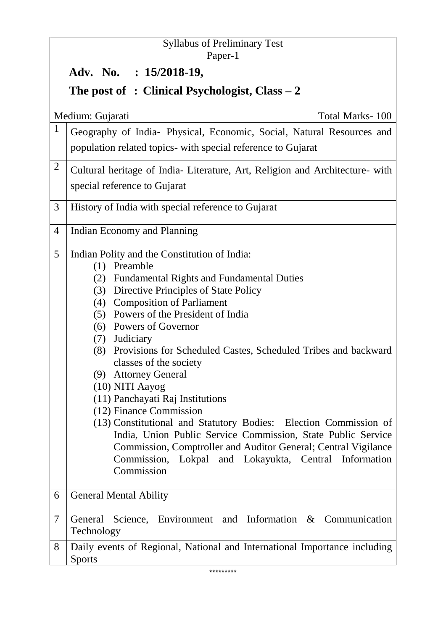|                                                 | <b>Syllabus of Preliminary Test</b>                                                                                                                                                                                                                                                                                                                                                                                                                                                                                                                                                                                                                                                                                                                                                       |  |
|-------------------------------------------------|-------------------------------------------------------------------------------------------------------------------------------------------------------------------------------------------------------------------------------------------------------------------------------------------------------------------------------------------------------------------------------------------------------------------------------------------------------------------------------------------------------------------------------------------------------------------------------------------------------------------------------------------------------------------------------------------------------------------------------------------------------------------------------------------|--|
|                                                 | Paper-1<br>Adv. No. : 15/2018-19,                                                                                                                                                                                                                                                                                                                                                                                                                                                                                                                                                                                                                                                                                                                                                         |  |
|                                                 |                                                                                                                                                                                                                                                                                                                                                                                                                                                                                                                                                                                                                                                                                                                                                                                           |  |
| The post of : Clinical Psychologist, Class $-2$ |                                                                                                                                                                                                                                                                                                                                                                                                                                                                                                                                                                                                                                                                                                                                                                                           |  |
|                                                 | Medium: Gujarati<br>Total Marks-100                                                                                                                                                                                                                                                                                                                                                                                                                                                                                                                                                                                                                                                                                                                                                       |  |
| $\mathbf{1}$                                    | Geography of India- Physical, Economic, Social, Natural Resources and                                                                                                                                                                                                                                                                                                                                                                                                                                                                                                                                                                                                                                                                                                                     |  |
|                                                 | population related topics- with special reference to Gujarat                                                                                                                                                                                                                                                                                                                                                                                                                                                                                                                                                                                                                                                                                                                              |  |
| $\overline{2}$                                  | Cultural heritage of India- Literature, Art, Religion and Architecture- with<br>special reference to Gujarat                                                                                                                                                                                                                                                                                                                                                                                                                                                                                                                                                                                                                                                                              |  |
| 3                                               | History of India with special reference to Gujarat                                                                                                                                                                                                                                                                                                                                                                                                                                                                                                                                                                                                                                                                                                                                        |  |
| 4                                               | Indian Economy and Planning                                                                                                                                                                                                                                                                                                                                                                                                                                                                                                                                                                                                                                                                                                                                                               |  |
| 5                                               | Indian Polity and the Constitution of India:<br>$(1)$ Preamble<br><b>Fundamental Rights and Fundamental Duties</b><br>(2)<br>Directive Principles of State Policy<br>(3)<br>(4) Composition of Parliament<br>Powers of the President of India<br>(5)<br>(6) Powers of Governor<br>(7) Judiciary<br>Provisions for Scheduled Castes, Scheduled Tribes and backward<br>(8)<br>classes of the society<br>(9) Attorney General<br>(10) NITI Aayog<br>(11) Panchayati Raj Institutions<br>(12) Finance Commission<br>(13) Constitutional and Statutory Bodies: Election Commission of<br>India, Union Public Service Commission, State Public Service<br>Commission, Comptroller and Auditor General; Central Vigilance<br>Commission, Lokpal and Lokayukta, Central Information<br>Commission |  |
| 6                                               | <b>General Mental Ability</b>                                                                                                                                                                                                                                                                                                                                                                                                                                                                                                                                                                                                                                                                                                                                                             |  |
| 7                                               | General Science, Environment and Information & Communication<br>Technology                                                                                                                                                                                                                                                                                                                                                                                                                                                                                                                                                                                                                                                                                                                |  |
| 8                                               | Daily events of Regional, National and International Importance including<br><b>Sports</b>                                                                                                                                                                                                                                                                                                                                                                                                                                                                                                                                                                                                                                                                                                |  |
|                                                 | *********                                                                                                                                                                                                                                                                                                                                                                                                                                                                                                                                                                                                                                                                                                                                                                                 |  |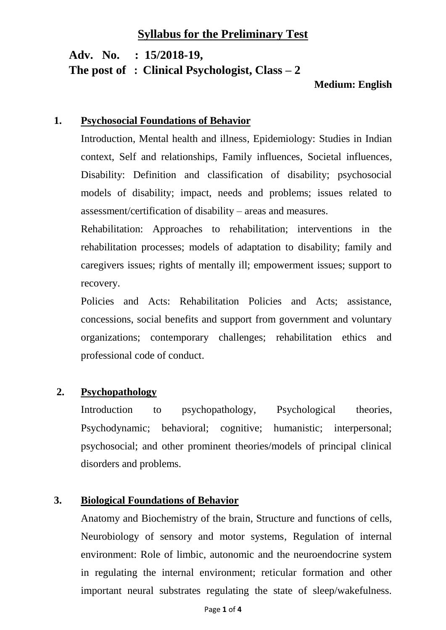# **Syllabus for the Preliminary Test**

 **Adv. No. : 15/2018-19, The post of : Clinical Psychologist, Class – 2**

#### **Medium: English**

#### **1. Psychosocial Foundations of Behavior**

Introduction, Mental health and illness, Epidemiology: Studies in Indian context, Self and relationships, Family influences, Societal influences, Disability: Definition and classification of disability; psychosocial models of disability; impact, needs and problems; issues related to assessment/certification of disability – areas and measures.

Rehabilitation: Approaches to rehabilitation; interventions in the rehabilitation processes; models of adaptation to disability; family and caregivers issues; rights of mentally ill; empowerment issues; support to recovery.

Policies and Acts: Rehabilitation Policies and Acts; assistance, concessions, social benefits and support from government and voluntary organizations; contemporary challenges; rehabilitation ethics and professional code of conduct.

#### **2. Psychopathology**

Introduction to psychopathology, Psychological theories, Psychodynamic; behavioral; cognitive; humanistic; interpersonal; psychosocial; and other prominent theories/models of principal clinical disorders and problems.

### **3. Biological Foundations of Behavior**

Anatomy and Biochemistry of the brain, Structure and functions of cells, Neurobiology of sensory and motor systems, Regulation of internal environment: Role of limbic, autonomic and the neuroendocrine system in regulating the internal environment; reticular formation and other important neural substrates regulating the state of sleep/wakefulness.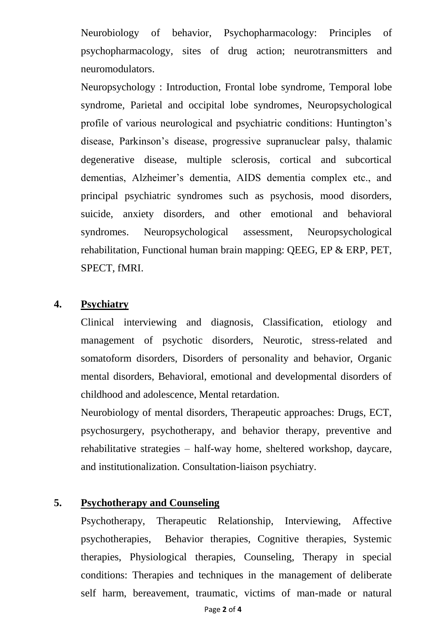Neurobiology of behavior, Psychopharmacology: Principles of psychopharmacology, sites of drug action; neurotransmitters and neuromodulators.

Neuropsychology : Introduction, Frontal lobe syndrome, Temporal lobe syndrome, Parietal and occipital lobe syndromes, Neuropsychological profile of various neurological and psychiatric conditions: Huntington's disease, Parkinson's disease, progressive supranuclear palsy, thalamic degenerative disease, multiple sclerosis, cortical and subcortical dementias, Alzheimer's dementia, AIDS dementia complex etc., and principal psychiatric syndromes such as psychosis, mood disorders, suicide, anxiety disorders, and other emotional and behavioral syndromes. Neuropsychological assessment, Neuropsychological rehabilitation, Functional human brain mapping: QEEG, EP & ERP, PET, SPECT, fMRI.

## **4. Psychiatry**

Clinical interviewing and diagnosis, Classification, etiology and management of psychotic disorders, Neurotic, stress-related and somatoform disorders, Disorders of personality and behavior, Organic mental disorders, Behavioral, emotional and developmental disorders of childhood and adolescence, Mental retardation.

Neurobiology of mental disorders, Therapeutic approaches: Drugs, ECT, psychosurgery, psychotherapy, and behavior therapy, preventive and rehabilitative strategies – half-way home, sheltered workshop, daycare, and institutionalization. Consultation-liaison psychiatry.

#### **5. Psychotherapy and Counseling**

Psychotherapy, Therapeutic Relationship, Interviewing, Affective psychotherapies, Behavior therapies, Cognitive therapies, Systemic therapies, Physiological therapies, Counseling, Therapy in special conditions: Therapies and techniques in the management of deliberate self harm, bereavement, traumatic, victims of man-made or natural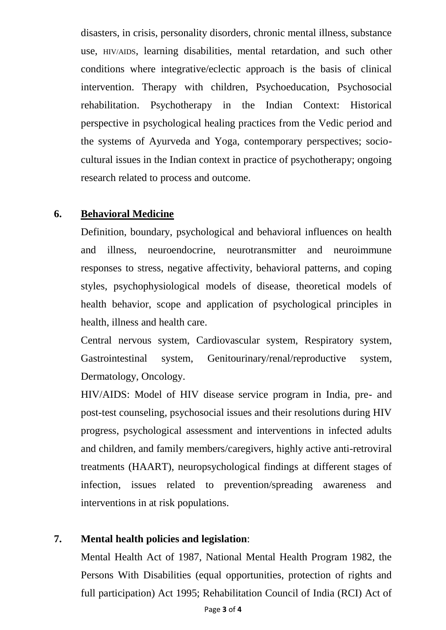disasters, in crisis, personality disorders, chronic mental illness, substance use, HIV/AIDS, learning disabilities, mental retardation, and such other conditions where integrative/eclectic approach is the basis of clinical intervention. Therapy with children, Psychoeducation, Psychosocial rehabilitation. Psychotherapy in the Indian Context: Historical perspective in psychological healing practices from the Vedic period and the systems of Ayurveda and Yoga, contemporary perspectives; sociocultural issues in the Indian context in practice of psychotherapy; ongoing research related to process and outcome.

## **6. Behavioral Medicine**

Definition, boundary, psychological and behavioral influences on health and illness, neuroendocrine, neurotransmitter and neuroimmune responses to stress, negative affectivity, behavioral patterns, and coping styles, psychophysiological models of disease, theoretical models of health behavior, scope and application of psychological principles in health, illness and health care.

Central nervous system, Cardiovascular system, Respiratory system, Gastrointestinal system, Genitourinary/renal/reproductive system, Dermatology, Oncology.

HIV/AIDS: Model of HIV disease service program in India, pre- and post-test counseling, psychosocial issues and their resolutions during HIV progress, psychological assessment and interventions in infected adults and children, and family members/caregivers, highly active anti-retroviral treatments (HAART), neuropsychological findings at different stages of infection, issues related to prevention/spreading awareness and interventions in at risk populations.

## **7. Mental health policies and legislation**:

Mental Health Act of 1987, National Mental Health Program 1982, the Persons With Disabilities (equal opportunities, protection of rights and full participation) Act 1995; Rehabilitation Council of India (RCI) Act of